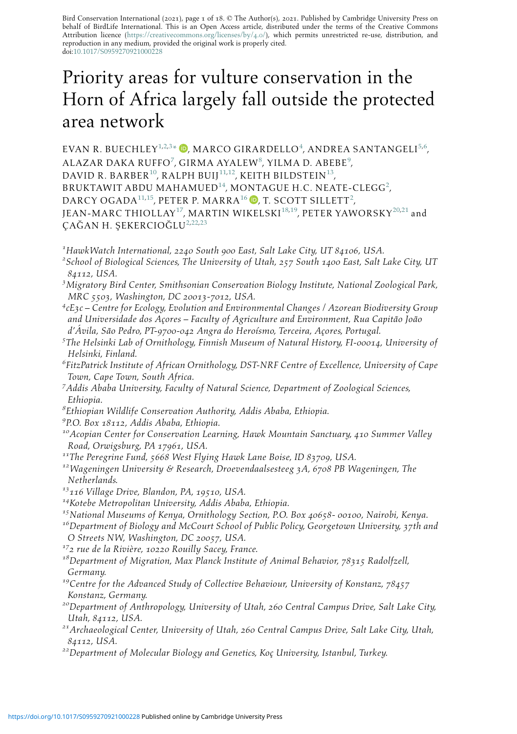Bird Conservation International (2021), page 1 of 18. © The Author(s), 2021. Published by Cambridge University Press on behalf of BirdLife International. This is an Open Access article, distributed under the terms of the Creative Commons Attribution licence [\(https://creativecommons.org/licenses/by/](https://creativecommons.org/licenses/by/4.0/)4.0/), which permits unrestricted re-use, distribution, and reproduction in any medium, provided the original work is properly cited. doi[:10.1017/S0959270921000228](https://doi.org/10.1017/S0959270921000228)

# Priority areas for vulture conservation in the Horn of Africa largely fall outside the protected area network

EVAN R. BUECHLEY $^{1,2,3}$  $^{1,2,3}$  $^{1,2,3}$  $^{1,2,3}$  $^{1,2,3}$ [\\*](#page-1-0)  $\mathbb{D}$ , marco girardello $^4$  $^4$ , andrea santangeli $^{5,6}$  $^{5,6}$  $^{5,6}$  $^{5,6}$ , ALAZAR DAKA RUFFO $^7$  $^7$ , girma ayalew $^8$  $^8$ , yilma d. Abebe $^9$  $^9$ , DAVID R. BARBER<sup>10</sup>, RALPH BUIJ<sup>[11](#page-0-10),12</sup>, KEITH BILDSTEIN<sup>13</sup>, BRUKTAWIT ABDU MAHAMUED $^{14}$  $^{14}$  $^{14}$ , MONTAGUE H.C. NEATE-CLEGG $^2$  $^2$ ,  $\mathsf{DARCY\ OGADA^{11,15}},$  $\mathsf{DARCY\ OGADA^{11,15}},$  $\mathsf{DARCY\ OGADA^{11,15}},$  $\mathsf{DARCY\ OGADA^{11,15}},$  peter P.  $\mathsf{MARKAA^{16}}$  $\mathsf{MARKAA^{16}}$  $\mathsf{MARKAA^{16}}$   $\textcolor{red}{\bullet}$ , t. scott sillett $^2$  $^2$ , JEAN-MARC THIOLLAY[17](#page-0-16), MARTIN WIKELSKI[18](#page-0-17)[,19,](#page-0-18) PETER YAWORSKY[20](#page-0-19)[,21](#page-0-20) and  $CA\ddot{G}AN H. SEKERCIO\ddot{G}LU^{2,22,23}$  $CA\ddot{G}AN H. SEKERCIO\ddot{G}LU^{2,22,23}$  $CA\ddot{G}AN H. SEKERCIO\ddot{G}LU^{2,22,23}$  $CA\ddot{G}AN H. SEKERCIO\ddot{G}LU^{2,22,23}$  $CA\ddot{G}AN H. SEKERCIO\ddot{G}LU^{2,22,23}$  $CA\ddot{G}AN H. SEKERCIO\ddot{G}LU^{2,22,23}$ 

<span id="page-0-0"></span><sup>1</sup>HawkWatch International, 2240 South 900 East, Salt Lake City, UT 84106, USA.<br><sup>2</sup>School of Biological Sciences, The University of Utah, 257 South 1400 East, Salt.

- <span id="page-0-1"></span> $\alpha^2$ School of Biological Sciences, The University of Utah, 257 South 1400 East, Salt Lake City, UT <sup>84112</sup>, USA. <sup>3</sup>
- <span id="page-0-2"></span><sup>3</sup>Migratory Bird Center, Smithsonian Conservation Biology Institute, National Zoological Park, MRC <sup>5503</sup>, Washington, DC <sup>20013</sup>-7012, USA. <sup>4</sup>
- <span id="page-0-3"></span> $c^4$ cE3c – Centre for Ecology, Evolution and Environmental Changes / Azorean Biodiversity Group and Universidade dos Açores – Faculty of Agriculture and Environment, Rua Capitão João d'Ávila, São Pedro, PT-9700-042 Angra do Heroísmo, Terceira, Açores, Portugal.
- <span id="page-0-4"></span> $5$ The Helsinki Lab of Ornithology, Finnish Museum of Natural History, FI-00014, University of Helsinki, Finland.
- <span id="page-0-5"></span> $^6$ FitzPatrick Institute of African Ornithology, DST-NRF Centre of Excellence, University of Cape Town, Cape Town, South Africa.
- <span id="page-0-6"></span>7 Addis Ababa University, Faculty of Natural Science, Department of Zoological Sciences, Ethiopia.
- <span id="page-0-7"></span> ${}^s$ Ethiopian Wildlife Conservation Authority, Addis Ababa, Ethiopia.
- <span id="page-0-8"></span><sup>9</sup>P.O. Box 18112, Addis Ababa, Ethiopia.
- <span id="page-0-9"></span><sup>10</sup> Acopian Center for Conservation Learning, Hawk Mountain Sanctuary, 410 Summer Valley Road, Orwigsburg, PA 17961, USA.<br><sup>11</sup>The Peregrine Fund, 5668 West Flying Hawk Lane Boise, ID 83709, USA.<br><sup>12</sup>Wageningen University & Research, Droevendaalsesteeg 3A, 6708 PB Wageningen, The
- <span id="page-0-11"></span><span id="page-0-10"></span>
- Netherlands.
- 
- <span id="page-0-13"></span><span id="page-0-12"></span><sup>13</sup>116 Village Drive, Blandon, PA, 19510, USA.<br><sup>14</sup>Kotebe Metropolitan University, Addis Ababa, Ethiopia.
- <span id="page-0-14"></span><sup>15</sup>National Museums of Kenya, Ornithology Section, P.O. Box 40658- 00100, Nairobi, Kenya.<br><sup>16</sup>Department of Biology and McCourt School of Public Policy, Georgetown University, 37th and

<span id="page-0-15"></span>O Streets NW, Washington, DC 20057, USA.<br><sup>17</sup>2 rue de la Rivière, 10220 Rouilly Sacey, France.<br><sup>18</sup>Department of Migration, Max Planck Institute of Animal Behavior, 78315 Radolfzell,

<span id="page-0-17"></span><span id="page-0-16"></span>

- Germany.
- <span id="page-0-18"></span> $19$ Centre for the Advanced Study of Collective Behaviour, University of Konstanz, 78457 Konstanz, Germany.
- <span id="page-0-19"></span><sup>20</sup>Department of Anthropology, University of Utah, 260 Central Campus Drive, Salt Lake City,
- <span id="page-0-20"></span>Utah, 84112, USA.<br><sup>21</sup>Archaeological Center, University of Utah, 260 Central Campus Drive, Salt Lake City, Utah, 84112, USA.<br><sup>22</sup>Department of Molecular Biology and Genetics, Koç University, Istanbul, Turkey.
- <span id="page-0-21"></span>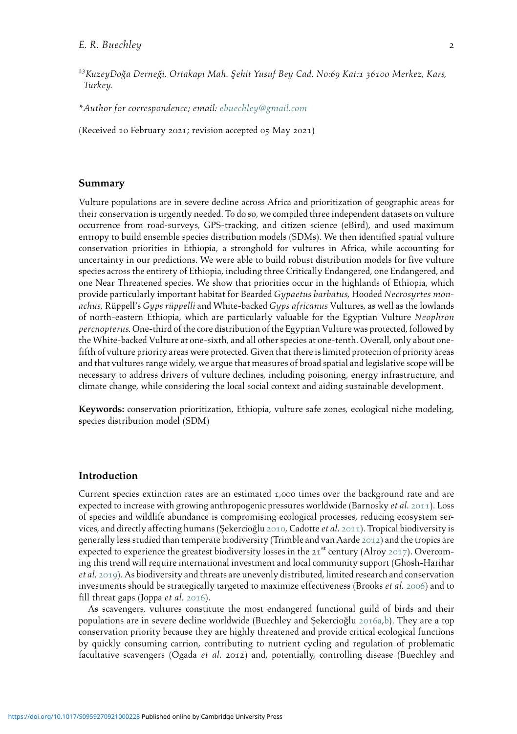- <span id="page-1-1"></span><sup>23</sup>KuzeyDoğa Derneği, Ortakapı Mah. Sehit Yusuf Bey Cad. No:69 Kat:1 36100 Merkez, Kars, Turkey.
- <span id="page-1-0"></span>\*Author for correspondence; email: [ebuechley@gmail.com](mailto:ebuechley@gmail.com)

(Received 10 February 2021; revision accepted 05 May 2021)

#### Summary

Vulture populations are in severe decline across Africa and prioritization of geographic areas for their conservation is urgently needed. To do so, we compiled three independent datasets on vulture occurrence from road-surveys, GPS-tracking, and citizen science (eBird), and used maximum entropy to build ensemble species distribution models (SDMs). We then identified spatial vulture conservation priorities in Ethiopia, a stronghold for vultures in Africa, while accounting for uncertainty in our predictions. We were able to build robust distribution models for five vulture species across the entirety of Ethiopia, including three Critically Endangered, one Endangered, and one Near Threatened species. We show that priorities occur in the highlands of Ethiopia, which provide particularly important habitat for Bearded Gypaetus barbatus, Hooded Necrosyrtes monachus, Rüppell's Gyps rüppelli and White-backed Gyps africanus Vultures, as well as the lowlands of north-eastern Ethiopia, which are particularly valuable for the Egyptian Vulture Neophron percnopterus. One-third of the core distribution of the Egyptian Vulture was protected, followed by the White-backed Vulture at one-sixth, and all other species at one-tenth. Overall, only about onefifth of vulture priority areas were protected. Given that there is limited protection of priority areas and that vultures range widely, we argue that measures of broad spatial and legislative scope will be necessary to address drivers of vulture declines, including poisoning, energy infrastructure, and climate change, while considering the local social context and aiding sustainable development.

Keywords: conservation prioritization, Ethiopia, vulture safe zones, ecological niche modeling, species distribution model (SDM)

# Introduction

Current species extinction rates are an estimated 1,000 times over the background rate and are expected to increase with growing anthropogenic pressures worldwide (Barnosky et al. [2011](#page-12-0)). Loss of species and wildlife abundance is compromising ecological processes, reducing ecosystem ser-vices, and directly affecting humans (Şekercioğlu [2010](#page-16-0), Cadotte et al. [2011](#page-13-0)). Tropical biodiversity is generally less studied than temperate biodiversity (Trimble and van Aarde [2012](#page-17-0)) and the tropics are expected to experience the greatest biodiversity losses in the  $21^{st}$  century (Alroy [2017](#page-12-1)). Overcoming this trend will require international investment and local community support (Ghosh-Harihar et al. [2019](#page-13-1)). As biodiversity and threats are unevenly distributed, limited research and conservation investments should be strategically targeted to maximize effectiveness (Brooks et al. [2006](#page-13-2)) and to fill threat gaps (Joppa et al. [2016](#page-14-0)).

As scavengers, vultures constitute the most endangered functional guild of birds and their populations are in severe decline worldwide (Buechley and Şekercioğlu [2016](#page-13-3)a,[b](#page-13-4)). They are a top conservation priority because they are highly threatened and provide critical ecological functions by quickly consuming carrion, contributing to nutrient cycling and regulation of problematic facultative scavengers (Ogada et al. 2012) and, potentially, controlling disease (Buechley and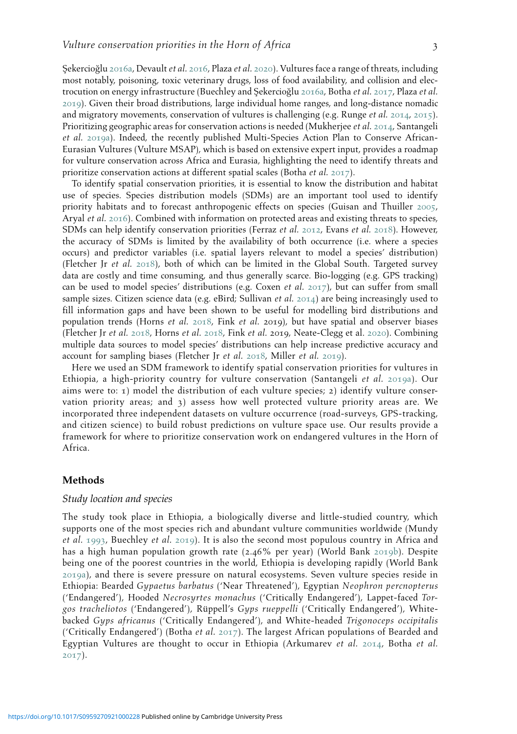Sekercioğlu [2016](#page-13-5)a, Devault et al. 2016, Plaza et al. [2020](#page-15-0)). Vultures face a range of threats, including most notably, poisoning, toxic veterinary drugs, loss of food availability, and collision and elec-trocution on energy infrastructure (Buechley and Sekercioğlu [2016](#page-13-3)a, Botha et al. [2017](#page-12-2), Plaza et al. [2019](#page-15-1)). Given their broad distributions, large individual home ranges, and long-distance nomadic and migratory movements, conservation of vultures is challenging (e.g. Runge *et al.* [2014](#page-16-1), [2015](#page-16-2)). Prioritizing geographic areas for conservation actions is needed (Mukherjee et al. [2014](#page-15-2), Santangeli et al. [2019](#page-16-3)a). Indeed, the recently published Multi-Species Action Plan to Conserve African-Eurasian Vultures (Vulture MSAP), which is based on extensive expert input, provides a roadmap for vulture conservation across Africa and Eurasia, highlighting the need to identify threats and prioritize conservation actions at different spatial scales (Botha et al. [2017](#page-12-2)).

To identify spatial conservation priorities, it is essential to know the distribution and habitat use of species. Species distribution models (SDMs) are an important tool used to identify priority habitats and to forecast anthropogenic effects on species (Guisan and Thuiller [2005](#page-14-1), Aryal et al. [2016](#page-12-3)). Combined with information on protected areas and existing threats to species, SDMs can help identify conservation priorities (Ferraz et al. [2012](#page-13-6), Evans et al. [2018](#page-13-7)). However, the accuracy of SDMs is limited by the availability of both occurrence (i.e. where a species occurs) and predictor variables (i.e. spatial layers relevant to model a species' distribution) (Fletcher Ir et al.  $2018$ ), both of which can be limited in the Global South. Targeted survey data are costly and time consuming, and thus generally scarce. Bio-logging (e.g. GPS tracking) can be used to model species' distributions (e.g. Coxen et al.  $2017$ ), but can suffer from small sample sizes. Citizen science data (e.g. eBird; Sullivan *et al.* [2014](#page-16-4)) are being increasingly used to fill information gaps and have been shown to be useful for modelling bird distributions and population trends (Horns et al.  $2018$ , Fink et al. 2019), but have spatial and observer biases (Fletcher Jr et al. [2018](#page-13-8), Horns et al. [2018](#page-14-2), Fink et al. 2019, Neate-Clegg et al. [2020](#page-15-3)). Combining multiple data sources to model species' distributions can help increase predictive accuracy and account for sampling biases (Fletcher Jr et al. [2018](#page-13-8), Miller et al. [2019](#page-14-3)).

Here we used an SDM framework to identify spatial conservation priorities for vultures in Ethiopia, a high-priority country for vulture conservation (Santangeli et al. [2019](#page-16-3)a). Our aims were to: 1) model the distribution of each vulture species; 2) identify vulture conservation priority areas; and 3) assess how well protected vulture priority areas are. We incorporated three independent datasets on vulture occurrence (road-surveys, GPS-tracking, and citizen science) to build robust predictions on vulture space use. Our results provide a framework for where to prioritize conservation work on endangered vultures in the Horn of Africa.

# Methods

#### Study location and species

The study took place in Ethiopia, a biologically diverse and little-studied country, which supports one of the most species rich and abundant vulture communities worldwide (Mundy et al. [1993](#page-15-4), Buechley et al. [2019](#page-13-7)). It is also the second most populous country in Africa and has a high human population growth rate (2.46% per year) (World Bank [2019](#page-17-1)b). Despite being one of the poorest countries in the world, Ethiopia is developing rapidly (World Bank [2019](#page-17-2)a), and there is severe pressure on natural ecosystems. Seven vulture species reside in Ethiopia: Bearded Gypaetus barbatus ('Near Threatened'), Egyptian Neophron percnopterus ('Endangered'), Hooded Necrosyrtes monachus ('Critically Endangered'), Lappet-faced Torgos tracheliotos ('Endangered'), Rüppell's Gyps rueppelli ('Critically Endangered'), Whitebacked Gyps africanus ('Critically Endangered'), and White-headed Trigonoceps occipitalis ('Critically Endangered') (Botha et al. [2017](#page-12-2)). The largest African populations of Bearded and Egyptian Vultures are thought to occur in Ethiopia (Arkumarev et al.  $2014$ , Botha et al. [2017](#page-12-2)).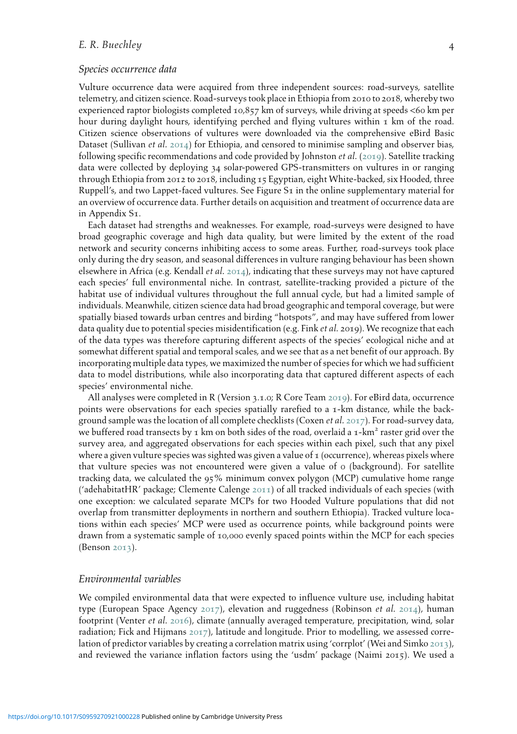# E. R. Buechley 4

#### Species occurrence data

Vulture occurrence data were acquired from three independent sources: road-surveys, satellite telemetry, and citizen science. Road-surveys took place in Ethiopia from 2010 to 2018, whereby two experienced raptor biologists completed 10,857 km of surveys, while driving at speeds <60 km per hour during daylight hours, identifying perched and flying vultures within  $\tau$  km of the road. Citizen science observations of vultures were downloaded via the comprehensive eBird Basic Dataset (Sullivan *et al.* [2014](#page-16-4)) for Ethiopia, and censored to minimise sampling and observer bias, following specific recommendations and code provided by Johnston et al. ([2019](#page-14-4)). Satellite tracking data were collected by deploying 34 solar-powered GPS-transmitters on vultures in or ranging through Ethiopia from 2012 to 2018, including 15 Egyptian, eight White-backed, six Hooded, three Ruppell's, and two Lappet-faced vultures. See Figure S<sub>1</sub> in the online supplementary material for an overview of occurrence data. Further details on acquisition and treatment of occurrence data are in Appendix S1.

Each dataset had strengths and weaknesses. For example, road-surveys were designed to have broad geographic coverage and high data quality, but were limited by the extent of the road network and security concerns inhibiting access to some areas. Further, road-surveys took place only during the dry season, and seasonal differences in vulture ranging behaviour has been shown elsewhere in Africa (e.g. Kendall *et al.* [2014](#page-14-5)), indicating that these surveys may not have captured each species' full environmental niche. In contrast, satellite-tracking provided a picture of the habitat use of individual vultures throughout the full annual cycle, but had a limited sample of individuals. Meanwhile, citizen science data had broad geographic and temporal coverage, but were spatially biased towards urban centres and birding "hotspots", and may have suffered from lower data quality due to potential species misidentification (e.g. Fink et al. 2019). We recognize that each of the data types was therefore capturing different aspects of the species' ecological niche and at somewhat different spatial and temporal scales, and we see that as a net benefit of our approach. By incorporating multiple data types, we maximized the number of species for which we had sufficient data to model distributions, while also incorporating data that captured different aspects of each species' environmental niche.

All analyses were completed in R (Version 3.1.0; R Core Team [2019](#page-15-5)). For eBird data, occurrence points were observations for each species spatially rarefied to a 1-km distance, while the background sample was the location of all complete checklists (Coxen *et al.* [2017](#page-13-1)). For road-survey data, we buffered road transects by 1 km on both sides of the road, overlaid a 1-km<sup>2</sup> raster grid over the survey area, and aggregated observations for each species within each pixel, such that any pixel where a given vulture species was sighted was given a value of  $\tau$  (occurrence), whereas pixels where that vulture species was not encountered were given a value of 0 (background). For satellite tracking data, we calculated the 95% minimum convex polygon (MCP) cumulative home range ('adehabitatHR' package; Clemente Calenge [2011](#page-13-9)) of all tracked individuals of each species (with one exception: we calculated separate MCPs for two Hooded Vulture populations that did not overlap from transmitter deployments in northern and southern Ethiopia). Tracked vulture locations within each species' MCP were used as occurrence points, while background points were drawn from a systematic sample of 10,000 evenly spaced points within the MCP for each species (Benson [2013](#page-12-5)).

#### Environmental variables

We compiled environmental data that were expected to influence vulture use, including habitat type (European Space Agency [2017](#page-13-10)), elevation and ruggedness (Robinson *et al.* [2014](#page-15-6)), human footprint (Venter et al. [2016](#page-17-3)), climate (annually averaged temperature, precipitation, wind, solar radiation; Fick and Hijmans [2017](#page-13-4)), latitude and longitude. Prior to modelling, we assessed correlation of predictor variables by creating a correlation matrix using 'corrplot' (Wei and Simko [2013](#page-17-4)), and reviewed the variance inflation factors using the 'usdm' package (Naimi 2015). We used a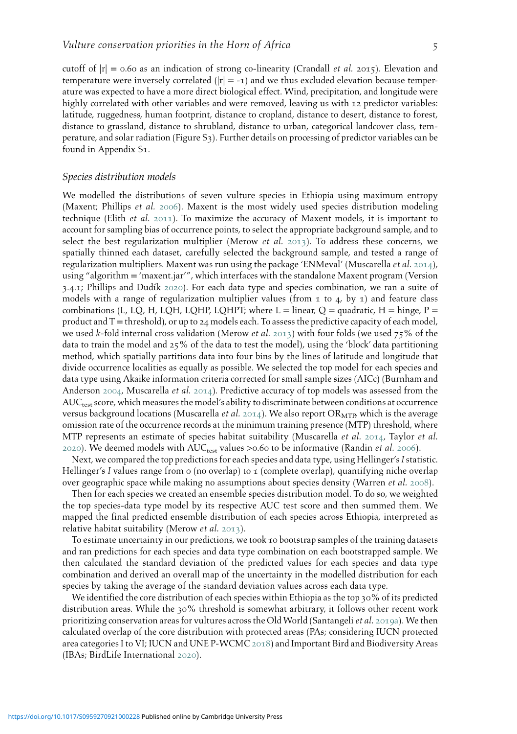cutoff of  $|r| = 0.60$  as an indication of strong co-linearity (Crandall *et al.* 2015). Elevation and temperature were inversely correlated  $(|r| = -1)$  and we thus excluded elevation because temperature was expected to have a more direct biological effect. Wind, precipitation, and longitude were highly correlated with other variables and were removed, leaving us with 12 predictor variables: latitude, ruggedness, human footprint, distance to cropland, distance to desert, distance to forest, distance to grassland, distance to shrubland, distance to urban, categorical landcover class, temperature, and solar radiation (Figure S3). Further details on processing of predictor variables can be found in Appendix S1.

#### Species distribution models

We modelled the distributions of seven vulture species in Ethiopia using maximum entropy (Maxent; Phillips et al. [2006](#page-15-7)). Maxent is the most widely used species distribution modeling technique (Elith et al. [2011](#page-13-11)). To maximize the accuracy of Maxent models, it is important to account for sampling bias of occurrence points, to select the appropriate background sample, and to select the best regularization multiplier (Merow *et al.* [2013](#page-14-6)). To address these concerns, we spatially thinned each dataset, carefully selected the background sample, and tested a range of regularization multipliers. Maxent was run using the package 'ENMeval' (Muscarella et al. [2014](#page-15-1)), using "algorithm = 'maxent.jar'", which interfaces with the standalone Maxent program (Version  $3.4.1$ ; Phillips and Dudík [2020](#page-16-5)). For each data type and species combination, we ran a suite of models with a range of regularization multiplier values (from  $\tau$  to  $\tau$ , by  $\tau$ ) and feature class combinations (L, LQ, H, LQH, LQHP, LQHPT; where  $L =$  linear,  $Q =$  quadratic,  $H =$  hinge,  $P =$ product and  $T =$  threshold), or up to 24 models each. To assess the predictive capacity of each model, we used k-fold internal cross validation (Merow *et al.* [2013](#page-14-6)) with four folds (we used 75% of the data to train the model and 25% of the data to test the model), using the 'block' data partitioning method, which spatially partitions data into four bins by the lines of latitude and longitude that divide occurrence localities as equally as possible. We selected the top model for each species and data type using Akaike information criteria corrected for small sample sizes (AICc) (Burnham and Anderson [2004](#page-13-12), Muscarella et al. [2014](#page-15-1)). Predictive accuracy of top models was assessed from the AUC<sub>test</sub> score, which measures the model's ability to discriminate between conditions at occurrence versus background locations (Muscarella *et al.* [2014](#page-15-1)). We also report OR<sub>MTP</sub> which is the average omission rate of the occurrence records at the minimum training presence (MTP) threshold, where MTP represents an estimate of species habitat suitability (Muscarella *et al.* [2014](#page-15-1), Taylor *et al.* [2020](#page-16-6)). We deemed models with  $AUC_{test}$  values >0.60 to be informative (Randin *et al.* [2006](#page-15-8)).

Next, we compared the top predictions for each species and data type, using Hellinger's I statistic. Hellinger's I values range from 0 (no overlap) to 1 (complete overlap), quantifying niche overlap over geographic space while making no assumptions about species density (Warren et al. [2008](#page-17-5)).

Then for each species we created an ensemble species distribution model. To do so, we weighted the top species-data type model by its respective AUC test score and then summed them. We mapped the final predicted ensemble distribution of each species across Ethiopia, interpreted as relative habitat suitability (Merow et al. [2013](#page-14-6)).

To estimate uncertainty in our predictions, we took 10 bootstrap samples of the training datasets and ran predictions for each species and data type combination on each bootstrapped sample. We then calculated the standard deviation of the predicted values for each species and data type combination and derived an overall map of the uncertainty in the modelled distribution for each species by taking the average of the standard deviation values across each data type.

We identified the core distribution of each species within Ethiopia as the top 30% of its predicted distribution areas. While the 30% threshold is somewhat arbitrary, it follows other recent work prioritizing conservation areas for vultures across the Old World (Santangeli et al. [2019](#page-16-3)a). We then calculated overlap of the core distribution with protected areas (PAs; considering IUCN protected area categories I to VI; IUCN and UNE P-WCMC [2018](#page-14-3)) and Important Bird and Biodiversity Areas (IBAs; BirdLife International [2020](#page-12-6)).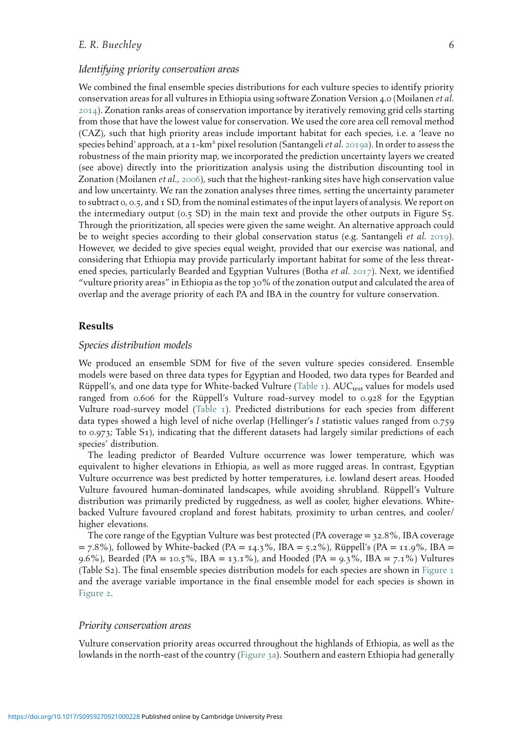# E. R. Buechley 6

#### Identifying priority conservation areas

We combined the final ensemble species distributions for each vulture species to identify priority conservation areas for all vultures in Ethiopia using software Zonation Version 4.0 (Moilanen et al. [2014](#page-14-7)). Zonation ranks areas of conservation importance by iteratively removing grid cells starting from those that have the lowest value for conservation. We used the core area cell removal method (CAZ), such that high priority areas include important habitat for each species, i.e. a 'leave no species behind' approach, at a 1-km<sup>2</sup> pixel resolution (Santangeli *et al.* [2019](#page-16-3)a). In order to assess the robustness of the main priority map, we incorporated the prediction uncertainty layers we created (see above) directly into the prioritization analysis using the distribution discounting tool in Zonation (Moilanen et al., [2006](#page-14-8)), such that the highest-ranking sites have high conservation value and low uncertainty. We ran the zonation analyses three times, setting the uncertainty parameter to subtract  $\alpha$ ,  $\alpha$ ,  $\tau$ , and  $\tau$  SD, from the nominal estimates of the input layers of analysis. We report on the intermediary output (0.5 SD) in the main text and provide the other outputs in Figure S5. Through the prioritization, all species were given the same weight. An alternative approach could be to weight species according to their global conservation status (e.g. Santangeli *et al.* [2019](#page-16-7)). However, we decided to give species equal weight, provided that our exercise was national, and considering that Ethiopia may provide particularly important habitat for some of the less threat-ened species, particularly Bearded and Egyptian Vultures (Botha et al. [2017](#page-12-2)). Next, we identified "vulture priority areas" in Ethiopia as the top 30% of the zonation output and calculated the area of overlap and the average priority of each PA and IBA in the country for vulture conservation.

### Results

#### Species distribution models

We produced an ensemble SDM for five of the seven vulture species considered. Ensemble models were based on three data types for Egyptian and Hooded, two data types for Bearded and Rüppell's, and one data type for White-backed Vulture ([Table](#page-6-0) 1). AUCtest values for models used ranged from 0.606 for the Rüppell's Vulture road-survey model to 0.928 for the Egyptian Vulture road-survey model [\(Table](#page-6-0) 1). Predicted distributions for each species from different data types showed a high level of niche overlap (Hellinger's I statistic values ranged from 0.759 to 0.973; Table S1), indicating that the different datasets had largely similar predictions of each species' distribution.

The leading predictor of Bearded Vulture occurrence was lower temperature, which was equivalent to higher elevations in Ethiopia, as well as more rugged areas. In contrast, Egyptian Vulture occurrence was best predicted by hotter temperatures, i.e. lowland desert areas. Hooded Vulture favoured human-dominated landscapes, while avoiding shrubland. Rüppell's Vulture distribution was primarily predicted by ruggedness, as well as cooler, higher elevations. Whitebacked Vulture favoured cropland and forest habitats, proximity to urban centres, and cooler/ higher elevations.

The core range of the Egyptian Vulture was best protected (PA coverage = 32.8%, IBA coverage  $= 7.8\%$ ), followed by White-backed (PA = 14.3%, IBA = 5.2%), Rüppell's (PA = 11.9%, IBA = 9.6%), Bearded (PA = 10.5%, IBA = 13.1%), and Hooded (PA = 9.3%, IBA = 7.1%) Vultures (Table S2). The final ensemble species distribution models for each species are shown in [Figure](#page-7-0)  $\tau$ and the average variable importance in the final ensemble model for each species is shown in [Figure](#page-8-0) 2.

#### Priority conservation areas

Vulture conservation priority areas occurred throughout the highlands of Ethiopia, as well as the lowlands in the north-east of the country ([Figure](#page-9-0) 3a). Southern and eastern Ethiopia had generally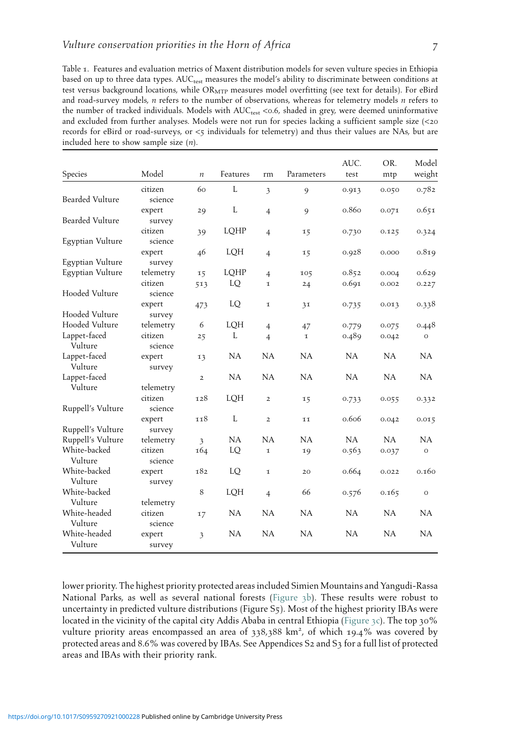<span id="page-6-0"></span>

| Table 1. Features and evaluation metrics of Maxent distribution models for seven vulture species in Ethiopia            |
|-------------------------------------------------------------------------------------------------------------------------|
| based on up to three data types. AUC <sub>test</sub> measures the model's ability to discriminate between conditions at |
| test versus background locations, while $OR_{\text{MTP}}$ measures model overfitting (see text for details). For eBird  |
| and road-survey models, <i>n</i> refers to the number of observations, whereas for telemetry models <i>n</i> refers to  |
| the number of tracked individuals. Models with AUC <sub>rest</sub> <0.6, shaded in grey, were deemed uninformative      |
| and excluded from further analyses. Models were not run for species lacking a sufficient sample size (<20               |
| records for eBird or road-surveys, or $\lt$ s individuals for telemetry) and thus their values are NAs, but are         |
| included here to show sample size $(n)$ .                                                                               |

| Species           | Model     | $\boldsymbol{n}$        | Features  | rm             | Parameters  | AUC.<br>test | OR.<br>mtp | Model<br>weight |
|-------------------|-----------|-------------------------|-----------|----------------|-------------|--------------|------------|-----------------|
|                   | citizen   | 60                      | L         | 3              | 9           | 0.913        | 0.050      | 0.782           |
| Bearded Vulture   | science   |                         |           |                |             |              |            |                 |
|                   | expert    | 29                      | L         | $\overline{4}$ | 9           | 0.860        | 0.071      | 0.651           |
| Bearded Vulture   | survey    |                         |           |                |             |              |            |                 |
|                   | citizen   | 39                      | LQHP      | $\overline{4}$ | 15          | 0.730        | 0.125      | 0.324           |
| Egyptian Vulture  | science   |                         |           |                |             |              |            |                 |
|                   | expert    | 46                      | LQH       | $\overline{4}$ | 15          | 0.928        | 0.000      | 0.819           |
| Egyptian Vulture  | survey    |                         |           |                |             |              |            |                 |
| Egyptian Vulture  | telemetry | 15                      | LQHP      | $\overline{4}$ | 105         | 0.852        | 0.004      | 0.629           |
|                   | citizen   | 513                     | LQ        | $\mathbf I$    | 24          | 0.691        | 0.002      | 0.227           |
| Hooded Vulture    | science   |                         |           |                |             |              |            |                 |
|                   | expert    | 473                     | LQ        | ı              | 31          | 0.735        | 0.013      | 0.338           |
| Hooded Vulture    | survey    |                         |           |                |             |              |            |                 |
| Hooded Vulture    | telemetry | 6                       | LQH       | $\overline{4}$ | 47          | 0.779        | 0.075      | 0.448           |
| Lappet-faced      | citizen   | 25                      | L         | $\overline{4}$ | $\mathbf I$ | 0.489        | 0.042      | $\circ$         |
| Vulture           | science   |                         |           |                |             |              |            |                 |
| Lappet-faced      | expert    | 13                      | <b>NA</b> | NA             | <b>NA</b>   | <b>NA</b>    | NA         | NA              |
| Vulture           | survey    |                         |           |                |             |              |            |                 |
| Lappet-faced      |           | $\overline{2}$          | NA        | <b>NA</b>      | <b>NA</b>   | <b>NA</b>    | NA         | NA              |
| Vulture           | telemetry |                         |           |                |             |              |            |                 |
|                   | citizen   | 128                     | LQH       | $\overline{2}$ | 15          | 0.733        | 0.055      | 0.332           |
| Ruppell's Vulture | science   |                         |           |                |             |              |            |                 |
|                   | expert    | 118                     | L         | $\overline{2}$ | 11          | 0.606        | 0.042      | 0.015           |
| Ruppell's Vulture | survey    |                         |           |                |             |              |            |                 |
| Ruppell's Vulture | telemetry | $\overline{\mathbf{3}}$ | NA        | NA             | <b>NA</b>   | <b>NA</b>    | <b>NA</b>  | <b>NA</b>       |
| White-backed      | citizen   | 164                     | LQ        | $\mathbf 1$    | 19          | 0.563        | 0.037      | $\circ$         |
| Vulture           | science   |                         |           |                |             |              |            |                 |
| White-backed      | expert    | 182                     | LQ        | $\mathbf 1$    | 20          | 0.664        | 0.022      | 0.160           |
| Vulture           | survey    |                         |           |                |             |              |            |                 |
| White-backed      |           | 8                       | LQH       | $\overline{4}$ | 66          | 0.576        | 0.165      | $\circ$         |
| Vulture           | telemetry |                         |           |                |             |              |            |                 |
| White-headed      | citizen   | 17                      | NA        | NA             | <b>NA</b>   | <b>NA</b>    | NA         | NA              |
| Vulture           | science   |                         |           |                |             |              |            |                 |
| White-headed      | expert    | 3                       | <b>NA</b> | <b>NA</b>      | <b>NA</b>   | NA           | <b>NA</b>  | NA              |
| Vulture           | survey    |                         |           |                |             |              |            |                 |
|                   |           |                         |           |                |             |              |            |                 |

lower priority. The highest priority protected areas included Simien Mountains and Yangudi-Rassa National Parks, as well as several national forests [\(Figure](#page-9-0) 3b). These results were robust to uncertainty in predicted vulture distributions (Figure S5). Most of the highest priority IBAs were located in the vicinity of the capital city Addis Ababa in central Ethiopia ([Figure](#page-9-0) 3c). The top 30% vulture priority areas encompassed an area of 338,388 km<sup>2</sup> , of which 19.4% was covered by protected areas and 8.6% was covered by IBAs. See Appendices S2 and S3 for a full list of protected areas and IBAs with their priority rank.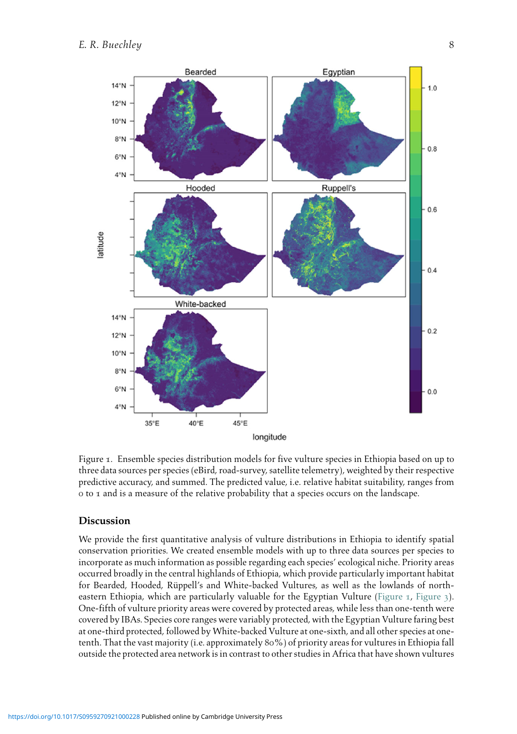<span id="page-7-0"></span>

Figure 1. Ensemble species distribution models for five vulture species in Ethiopia based on up to three data sources per species (eBird, road-survey, satellite telemetry), weighted by their respective predictive accuracy, and summed. The predicted value, i.e. relative habitat suitability, ranges from 0 to 1 and is a measure of the relative probability that a species occurs on the landscape.

#### Discussion

We provide the first quantitative analysis of vulture distributions in Ethiopia to identify spatial conservation priorities. We created ensemble models with up to three data sources per species to incorporate as much information as possible regarding each species' ecological niche. Priority areas occurred broadly in the central highlands of Ethiopia, which provide particularly important habitat for Bearded, Hooded, Rüppell's and White-backed Vultures, as well as the lowlands of north-eastern Ethiopia, which are particularly valuable for the Egyptian Vulture ([Figure](#page-9-0) 1, Figure 3). One-fifth of vulture priority areas were covered by protected areas, while less than one-tenth were covered by IBAs. Species core ranges were variably protected, with the Egyptian Vulture faring best at one-third protected, followed by White-backed Vulture at one-sixth, and all other species at onetenth. That the vast majority (i.e. approximately 80%) of priority areas for vultures in Ethiopia fall outside the protected area network is in contrast to other studies in Africa that have shown vultures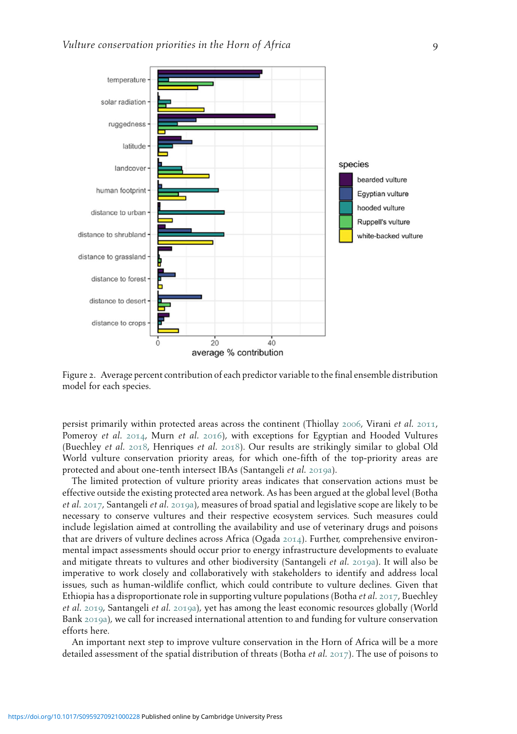<span id="page-8-0"></span>

Figure 2. Average percent contribution of each predictor variable to the final ensemble distribution model for each species.

persist primarily within protected areas across the continent (Thiollay [2006](#page-16-8), Virani et al. [2011](#page-17-1), Pomeroy et al. [2014](#page-15-9), Murn et al. [2016](#page-15-10)), with exceptions for Egyptian and Hooded Vultures (Buechley et al. [2018](#page-13-13), Henriques et al. [2018](#page-14-9)). Our results are strikingly similar to global Old World vulture conservation priority areas, for which one-fifth of the top-priority areas are protected and about one-tenth intersect IBAs (Santangeli et al. [2019](#page-16-3)a).

The limited protection of vulture priority areas indicates that conservation actions must be effective outside the existing protected area network. As has been argued at the global level (Botha et al. [2017](#page-12-2), Santangeli et al. [2019](#page-16-3)a), measures of broad spatial and legislative scope are likely to be necessary to conserve vultures and their respective ecosystem services. Such measures could include legislation aimed at controlling the availability and use of veterinary drugs and poisons that are drivers of vulture declines across Africa (Ogada [2014](#page-15-11)). Further, comprehensive environmental impact assessments should occur prior to energy infrastructure developments to evaluate and mitigate threats to vultures and other biodiversity (Santangeli et al. [2019](#page-16-3)a). It will also be imperative to work closely and collaboratively with stakeholders to identify and address local issues, such as human-wildlife conflict, which could contribute to vulture declines. Given that Ethiopia has a disproportionate role in supporting vulture populations (Botha *et al.* [2017](#page-12-2), Buechley et al. [2019](#page-13-7), Santangeli et al. [2019](#page-16-3)a), yet has among the least economic resources globally (World Bank [2019](#page-17-2)a), we call for increased international attention to and funding for vulture conservation efforts here.

An important next step to improve vulture conservation in the Horn of Africa will be a more detailed assessment of the spatial distribution of threats (Botha *et al.* [2017](#page-12-2)). The use of poisons to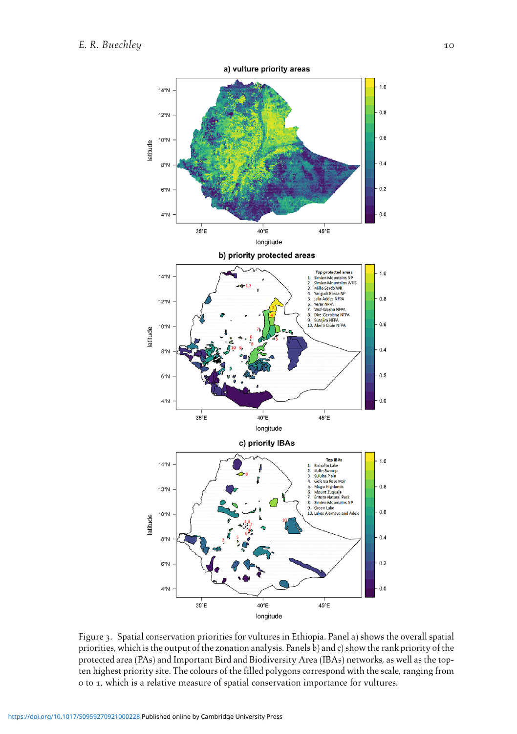<span id="page-9-0"></span>

Figure 3. Spatial conservation priorities for vultures in Ethiopia. Panel a) shows the overall spatial priorities, which is the output of the zonation analysis. Panels b) and c) show the rank priority of the protected area (PAs) and Important Bird and Biodiversity Area (IBAs) networks, as well as the topten highest priority site. The colours of the filled polygons correspond with the scale, ranging from 0 to 1, which is a relative measure of spatial conservation importance for vultures.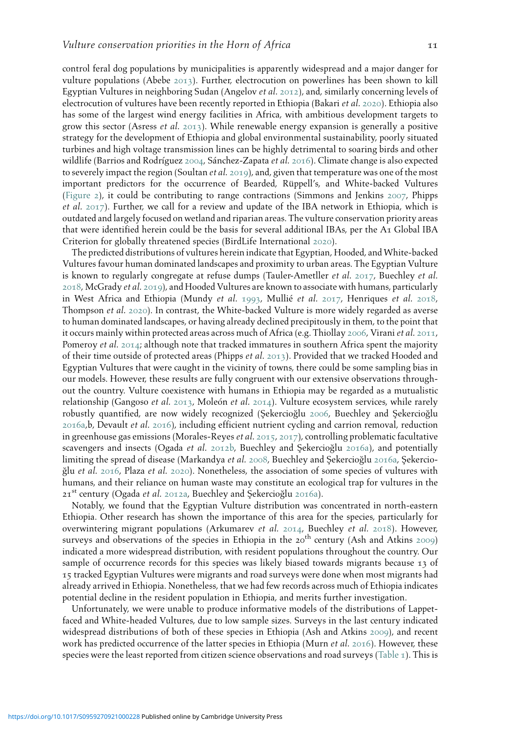control feral dog populations by municipalities is apparently widespread and a major danger for vulture populations (Abebe [2013](#page-12-7)). Further, electrocution on powerlines has been shown to kill Egyptian Vultures in neighboring Sudan (Angelov et al. [2012](#page-12-8)), and, similarly concerning levels of electrocution of vultures have been recently reported in Ethiopia (Bakari et al. [2020](#page-12-9)). Ethiopia also has some of the largest wind energy facilities in Africa, with ambitious development targets to grow this sector (Asress et al.  $2013$ ). While renewable energy expansion is generally a positive strategy for the development of Ethiopia and global environmental sustainability, poorly situated turbines and high voltage transmission lines can be highly detrimental to soaring birds and other wildlife (Barrios and Rodríguez [2004](#page-12-11), Sánchez-Zapata et al. [2016](#page-16-9)). Climate change is also expected to severely impact the region (Soultan *et al.* [2019](#page-16-10)), and, given that temperature was one of the most important predictors for the occurrence of Bearded, Rüppell's, and White-backed Vultures ([Figure](#page-8-0) 2), it could be contributing to range contractions (Simmons and Jenkins [2007](#page-16-11), Phipps et al. [2017](#page-15-12)). Further, we call for a review and update of the IBA network in Ethiopia, which is outdated and largely focused on wetland and riparian areas. The vulture conservation priority areas that were identified herein could be the basis for several additional IBAs, per the A1 Global IBA Criterion for globally threatened species (BirdLife International [2020](#page-12-6)).

The predicted distributions of vultures herein indicate that Egyptian, Hooded, andWhite-backed Vultures favour human dominated landscapes and proximity to urban areas. The Egyptian Vulture is known to regularly congregate at refuse dumps (Tauler-Ametller *et al.* [2017](#page-16-12), Buechley *et al.* [2018](#page-13-13), McGrady et al. [2019](#page-14-10)), and Hooded Vultures are known to associate with humans, particularly in West Africa and Ethiopia (Mundy et al. [1993](#page-15-4), Mullié et al. [2017](#page-15-12), Henriques et al. [2018](#page-14-9), Thompson et al. [2020](#page-16-13)). In contrast, the White-backed Vulture is more widely regarded as averse to human dominated landscapes, or having already declined precipitously in them, to the point that it occurs mainly within protected areas across much of Africa (e.g. Thiollay [2006](#page-16-8), Virani et al. [2011](#page-17-1), Pomeroy et al. [2014](#page-15-9); although note that tracked immatures in southern Africa spent the majority of their time outside of protected areas (Phipps et al. [2013](#page-15-13)). Provided that we tracked Hooded and Egyptian Vultures that were caught in the vicinity of towns, there could be some sampling bias in our models. However, these results are fully congruent with our extensive observations throughout the country. Vulture coexistence with humans in Ethiopia may be regarded as a mutualistic relationship (Gangoso et al. [2013](#page-13-14), Moleón et al. [2014](#page-14-11)). Vulture ecosystem services, while rarely robustly quantified, are now widely recognized (Şekercioğlu [2006](#page-16-14), Buechley and Şekercioğlu [2016](#page-13-3)a,b, Devault et al. [2016](#page-13-5)), including efficient nutrient cycling and carrion removal, reduction in greenhouse gas emissions (Morales-Reyes *et al.* [2015](#page-14-12), [2017](#page-14-13)), controlling problematic facultative scavengers and insects (Ogada et al. [2012](#page-15-6)b, Buechley and Şekercioğlu [2016](#page-13-3)a), and potentially limiting the spread of disease (Markandya *et al.* [2008](#page-14-14), Buechley and SekerciogIu [2016](#page-13-3)a, Sekercio-ğlu et al. [2016](#page-16-15), Plaza et al. [2020](#page-15-0)). Nonetheless, the association of some species of vultures with humans, and their reliance on human waste may constitute an ecological trap for vultures in the  $21<sup>st</sup>$  century (Ogada *et al.* [2012](#page-15-14)a, Buechley and Şekercioğlu [2016](#page-13-3)a).

Notably, we found that the Egyptian Vulture distribution was concentrated in north-eastern Ethiopia. Other research has shown the importance of this area for the species, particularly for overwintering migrant populations (Arkumarev et al.  $2014$ , Buechley et al.  $2018$ ). However, surveys and observations of the species in Ethiopia in the 20<sup>th</sup> century (Ash and Atkins [2009](#page-12-6)) indicated a more widespread distribution, with resident populations throughout the country. Our sample of occurrence records for this species was likely biased towards migrants because 13 of 15 tracked Egyptian Vultures were migrants and road surveys were done when most migrants had already arrived in Ethiopia. Nonetheless, that we had few records across much of Ethiopia indicates potential decline in the resident population in Ethiopia, and merits further investigation.

Unfortunately, we were unable to produce informative models of the distributions of Lappetfaced and White-headed Vultures, due to low sample sizes. Surveys in the last century indicated widespread distributions of both of these species in Ethiopia (Ash and Atkins [2009](#page-12-6)), and recent work has predicted occurrence of the latter species in Ethiopia (Murn et al. [2016](#page-15-10)). However, these species were the least reported from citizen science observations and road surveys ([Table](#page-6-0) 1). This is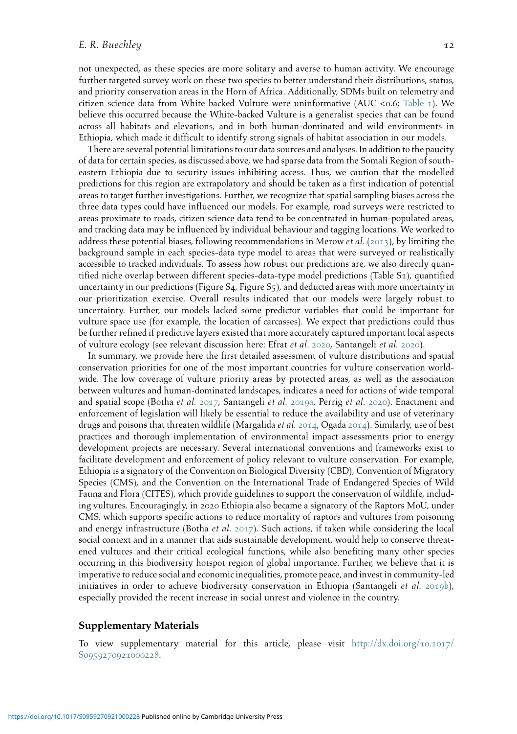not unexpected, as these species are more solitary and averse to human activity. We encourage further targeted survey work on these two species to better understand their distributions, status, and priority conservation areas in the Horn of Africa. Additionally, SDMs built on telemetry and citizen science data from White backed Vulture were uninformative (AUC <0.6; [Table](#page-6-0)  $\perp$ ). We believe this occurred because the White-backed Vulture is a generalist species that can be found across all habitats and elevations, and in both human-dominated and wild environments in Ethiopia, which made it difficult to identify strong signals of habitat association in our models.

There are several potential limitations to our data sources and analyses. In addition to the paucity of data for certain species, as discussed above, we had sparse data from the Somali Region of southeastern Ethiopia due to security issues inhibiting access. Thus, we caution that the modelled predictions for this region are extrapolatory and should be taken as a first indication of potential areas to target further investigations. Further, we recognize that spatial sampling biases across the three data types could have influenced our models. For example, road surveys were restricted to areas proximate to roads, citizen science data tend to be concentrated in human-populated areas, and tracking data may be influenced by individual behaviour and tagging locations. We worked to address these potential biases, following recommendations in Merow *et al.* ([2013](#page-14-6)), by limiting the background sample in each species-data type model to areas that were surveyed or realistically accessible to tracked individuals. To assess how robust our predictions are, we also directly quantified niche overlap between different species-data-type model predictions (Table S1), quantified uncertainty in our predictions (Figure S4, Figure S5), and deducted areas with more uncertainty in our prioritization exercise. Overall results indicated that our models were largely robust to uncertainty. Further, our models lacked some predictor variables that could be important for vulture space use (for example, the location of carcasses). We expect that predictions could thus be further refined if predictive layers existed that more accurately captured important local aspects of vulture ecology (see relevant discussion here: Efrat et al. [2020](#page-13-15), Santangeli et al. [2020](#page-16-16)).

In summary, we provide here the first detailed assessment of vulture distributions and spatial conservation priorities for one of the most important countries for vulture conservation worldwide. The low coverage of vulture priority areas by protected areas, as well as the association between vultures and human-dominated landscapes, indicates a need for actions of wide temporal and spatial scope (Botha et al. [2017](#page-12-2), Santangeli et al. [2019](#page-16-3)a, Perrig et al. [2020](#page-15-15)). Enactment and enforcement of legislation will likely be essential to reduce the availability and use of veterinary drugs and poisons that threaten wildlife (Margalida et al. [2014](#page-15-11), Ogada 2014). Similarly, use of best practices and thorough implementation of environmental impact assessments prior to energy development projects are necessary. Several international conventions and frameworks exist to facilitate development and enforcement of policy relevant to vulture conservation. For example, Ethiopia is a signatory of the Convention on Biological Diversity (CBD), Convention of Migratory Species (CMS), and the Convention on the International Trade of Endangered Species of Wild Fauna and Flora (CITES), which provide guidelines to support the conservation of wildlife, including vultures. Encouragingly, in 2020 Ethiopia also became a signatory of the Raptors MoU, under CMS, which supports specific actions to reduce mortality of raptors and vultures from poisoning and energy infrastructure (Botha et al.  $2017$ ). Such actions, if taken while considering the local social context and in a manner that aids sustainable development, would help to conserve threatened vultures and their critical ecological functions, while also benefiting many other species occurring in this biodiversity hotspot region of global importance. Further, we believe that it is imperative to reduce social and economic inequalities, promote peace, and invest in community-led initiatives in order to achieve biodiversity conservation in Ethiopia (Santangeli et al.  $2019b$  $2019b$ ), especially provided the recent increase in social unrest and violence in the country.

#### Supplementary Materials

To view supplementary material for this article, please visit [http://dx.doi.org/](http://dx.doi.org/10.1017/S0959270921000228)10.1017/ S[0959270921000228](http://dx.doi.org/10.1017/S0959270921000228).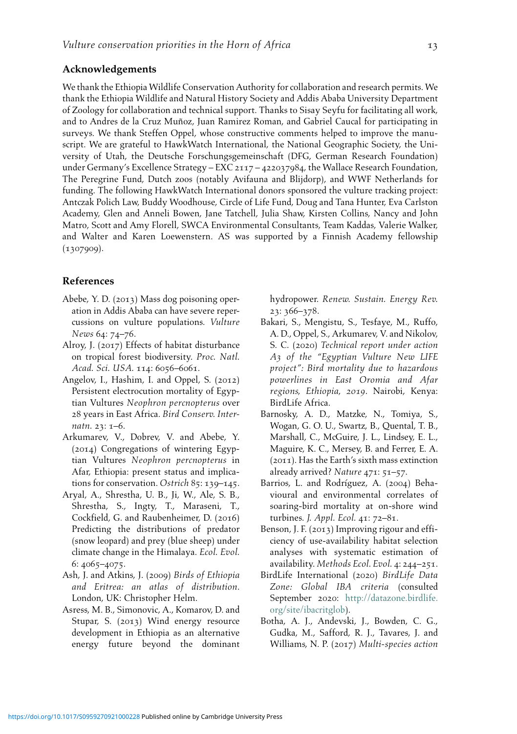# Acknowledgements

We thank the EthiopiaWildlife Conservation Authority for collaboration and research permits. We thank the Ethiopia Wildlife and Natural History Society and Addis Ababa University Department of Zoology for collaboration and technical support. Thanks to Sisay Seyfu for facilitating all work, and to Andres de la Cruz Muñoz, Juan Ramirez Roman, and Gabriel Caucal for participating in surveys. We thank Steffen Oppel, whose constructive comments helped to improve the manuscript. We are grateful to HawkWatch International, the National Geographic Society, the University of Utah, the Deutsche Forschungsgemeinschaft (DFG, German Research Foundation) under Germany's Excellence Strategy – EXC 2117 – 422037984, the Wallace Research Foundation, The Peregrine Fund, Dutch zoos (notably Avifauna and Blijdorp), and WWF Netherlands for funding. The following HawkWatch International donors sponsored the vulture tracking project: Antczak Polich Law, Buddy Woodhouse, Circle of Life Fund, Doug and Tana Hunter, Eva Carlston Academy, Glen and Anneli Bowen, Jane Tatchell, Julia Shaw, Kirsten Collins, Nancy and John Matro, Scott and Amy Florell, SWCA Environmental Consultants, Team Kaddas, Valerie Walker, and Walter and Karen Loewenstern. AS was supported by a Finnish Academy fellowship (1307909).

#### References

- <span id="page-12-9"></span><span id="page-12-7"></span>Abebe, Y. D. (2013) Mass dog poisoning operation in Addis Ababa can have severe repercussions on vulture populations. Vulture News 64: 74–76.
- <span id="page-12-1"></span>Alroy, J. (2017) Effects of habitat disturbance on tropical forest biodiversity. Proc. Natl. Acad. Sci. USA. 114: 6056–6061.
- <span id="page-12-8"></span>Angelov, I., Hashim, I. and Oppel, S. (2012) Persistent electrocution mortality of Egyptian Vultures Neophron percnopterus over 28 years in East Africa. Bird Conserv. Internatn. 23: 1–6.
- <span id="page-12-4"></span><span id="page-12-0"></span>Arkumarev, V., Dobrev, V. and Abebe, Y. (2014) Congregations of wintering Egyptian Vultures Neophron percnopterus in Afar, Ethiopia: present status and implications for conservation. Ostrich 85: 139–145.
- <span id="page-12-11"></span><span id="page-12-5"></span><span id="page-12-3"></span>Aryal, A., Shrestha, U. B., Ji, W., Ale, S. B., Shrestha, S., Ingty, T., Maraseni, T., Cockfield, G. and Raubenheimer, D. (2016) Predicting the distributions of predator (snow leopard) and prey (blue sheep) under climate change in the Himalaya. Ecol. Evol. 6: 4065–4075.
- <span id="page-12-6"></span>Ash, J. and Atkins, J. (2009) Birds of Ethiopia and Eritrea: an atlas of distribution. London, UK: Christopher Helm.
- <span id="page-12-10"></span><span id="page-12-2"></span>Asress, M. B., Simonovic, A., Komarov, D. and Stupar, S. (2013) Wind energy resource development in Ethiopia as an alternative energy future beyond the dominant

hydropower. Renew. Sustain. Energy Rev. 23: 366–378.

- Bakari, S., Mengistu, S., Tesfaye, M., Ruffo, A. D., Oppel, S., Arkumarev, V. and Nikolov, S. C. (2020) Technical report under action A3 of the "Egyptian Vulture New LIFE project": Bird mortality due to hazardous powerlines in East Oromia and Afar regions, Ethiopia, 2019. Nairobi, Kenya: BirdLife Africa.
- Barnosky, A. D., Matzke, N., Tomiya, S., Wogan, G. O. U., Swartz, B., Quental, T. B., Marshall, C., McGuire, J. L., Lindsey, E. L., Maguire, K. C., Mersey, B. and Ferrer, E. A. (2011). Has the Earth's sixth mass extinction already arrived? Nature 471: 51–57.
- Barrios, L. and Rodríguez, A. (2004) Behavioural and environmental correlates of soaring-bird mortality at on-shore wind turbines. J. Appl. Ecol. 41: 72–81.
- Benson, J. F. (2013) Improving rigour and efficiency of use-availability habitat selection analyses with systematic estimation of availability. Methods Ecol. Evol. 4: 244–251.
- BirdLife International (2020) BirdLife Data Zone: Global IBA criteria (consulted September 2020: [http://datazone.birdlife.](http://datazone.birdlife.org/site/ibacritglob) [org/site/ibacritglob](http://datazone.birdlife.org/site/ibacritglob)).
- Botha, A. J., Andevski, J., Bowden, C. G., Gudka, M., Safford, R. J., Tavares, J. and Williams, N. P. (2017) Multi-species action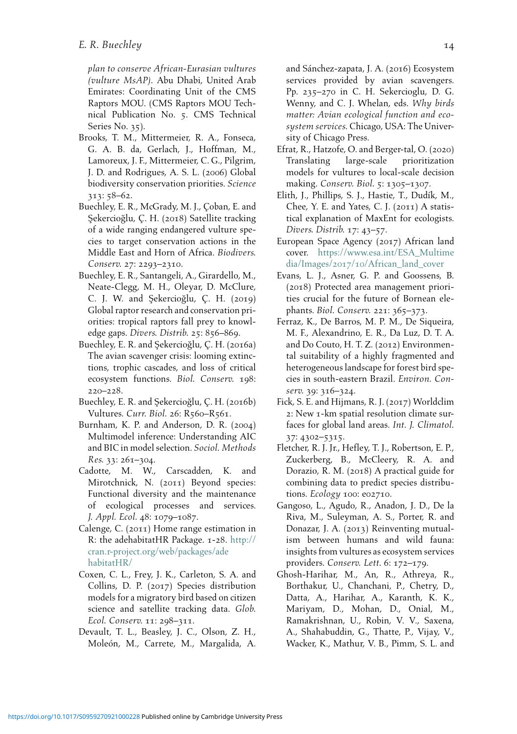plan to conserve African-Eurasian vultures (vulture MsAP). Abu Dhabi, United Arab Emirates: Coordinating Unit of the CMS Raptors MOU. (CMS Raptors MOU Technical Publication No. 5. CMS Technical Series No. 35).

- <span id="page-13-15"></span><span id="page-13-2"></span>Brooks, T. M., Mittermeier, R. A., Fonseca, G. A. B. da, Gerlach, J., Hoffman, M., Lamoreux, J. F., Mittermeier, C. G., Pilgrim, J. D. and Rodrigues, A. S. L. (2006) Global biodiversity conservation priorities. Science 313: 58–62.
- <span id="page-13-13"></span><span id="page-13-11"></span><span id="page-13-10"></span>Buechley, E. R., McGrady, M. J., Çoban, E. and Sekercioğlu, C. H. (2018) Satellite tracking of a wide ranging endangered vulture species to target conservation actions in the Middle East and Horn of Africa. Biodivers. Conserv. 27: 2293–2310.
- <span id="page-13-7"></span>Buechley, E. R., Santangeli, A., Girardello, M., Neate-Clegg, M. H., Oleyar, D. McClure, C. J. W. and Şekercioğlu, Ç. H. (2019) Global raptor research and conservation priorities: tropical raptors fall prey to knowledge gaps. Divers. Distrib. 25: 856–869.
- <span id="page-13-6"></span><span id="page-13-3"></span>Buechley, E. R. and Şekercioğlu, Ç. H. (2016a) The avian scavenger crisis: looming extinctions, trophic cascades, and loss of critical ecosystem functions. Biol. Conserv. 198: 220–228.
- <span id="page-13-4"></span>Buechley, E. R. and Şekercioğlu, Ç. H. (2016b) Vultures. Curr. Biol. 26: R560–R561.
- <span id="page-13-12"></span><span id="page-13-8"></span>Burnham, K. P. and Anderson, D. R. (2004) Multimodel inference: Understanding AIC and BIC in model selection. Sociol. Methods Res. 33: 261–304.
- <span id="page-13-0"></span>Cadotte, M. W., Carscadden, K. and Mirotchnick, N. (2011) Beyond species: Functional diversity and the maintenance of ecological processes and services. J. Appl. Ecol. 48: 1079–1087.
- <span id="page-13-14"></span><span id="page-13-9"></span>Calenge, C. (2011) Home range estimation in R: the adehabitatHR Package. 1-28. [http://](http://cran.r-project.org/web/packages/adehabitatHR/) [cran.r-project.org/web/packages/ade](http://cran.r-project.org/web/packages/adehabitatHR/) [habitatHR/](http://cran.r-project.org/web/packages/adehabitatHR/)
- <span id="page-13-1"></span>Coxen, C. L., Frey, J. K., Carleton, S. A. and Collins, D. P. (2017) Species distribution models for a migratory bird based on citizen science and satellite tracking data. Glob. Ecol. Conserv. 11: 298–311.
- <span id="page-13-5"></span>Devault, T. L., Beasley, J. C., Olson, Z. H., Moleón, M., Carrete, M., Margalida, A.

and Sánchez-zapata, J. A. (2016) Ecosystem services provided by avian scavengers. Pp. 235–270 in C. H. Sekercioglu, D. G. Wenny, and C. J. Whelan, eds. Why birds matter: Avian ecological function and ecosystem services. Chicago, USA: The University of Chicago Press.

- Efrat, R., Hatzofe, O. and Berger-tal, O. (2020) Translating large-scale prioritization models for vultures to local-scale decision making. Conserv. Biol. 5: 1305–1307.
- Elith, J., Phillips, S. J., Hastie, T., Dudík, M., Chee, Y. E. and Yates, C. J. (2011) A statistical explanation of MaxEnt for ecologists. Divers. Distrib. 17: 43–57.
- European Space Agency (2017) African land cover. [https://www.esa.int/ESA\\_Multime](https://www.esa.int/ESA_Multimedia/Images/2017/10/African_land_cover) dia/Images/2017/10[/African\\_land\\_cover](https://www.esa.int/ESA_Multimedia/Images/2017/10/African_land_cover)
- Evans, L. J., Asner, G. P. and Goossens, B. (2018) Protected area management priorities crucial for the future of Bornean elephants. Biol. Conserv. 221: 365–373.
- Ferraz, K., De Barros, M. P. M., De Siqueira, M. F., Alexandrino, E. R., Da Luz, D. T. A. and Do Couto, H. T. Z. (2012) Environmental suitability of a highly fragmented and heterogeneous landscape for forest bird species in south-eastern Brazil. Environ. Conserv. 39: 316–324.
- Fick, S. E. and Hijmans, R. J. (2017) Worldclim 2: New 1-km spatial resolution climate surfaces for global land areas. Int. J. Climatol. 37: 4302–5315.
- Fletcher, R. J. Jr., Hefley, T. J., Robertson, E. P., Zuckerberg, B., McCleery, R. A. and Dorazio, R. M. (2018) A practical guide for combining data to predict species distributions. Ecology 100: e02710.
- Gangoso, L., Agudo, R., Anadon, J. D., De la Riva, M., Suleyman, A. S., Porter, R. and Donazar, J. A. (2013) Reinventing mutualism between humans and wild fauna: insights from vultures as ecosystem services providers. Conserv. Lett. 6: 172–179.
- Ghosh-Harihar, M., An, R., Athreya, R., Borthakur, U., Chanchani, P., Chetry, D., Datta, A., Harihar, A., Karanth, K. K., Mariyam, D., Mohan, D., Onial, M., Ramakrishnan, U., Robin, V. V., Saxena, A., Shahabuddin, G., Thatte, P., Vijay, V., Wacker, K., Mathur, V. B., Pimm, S. L. and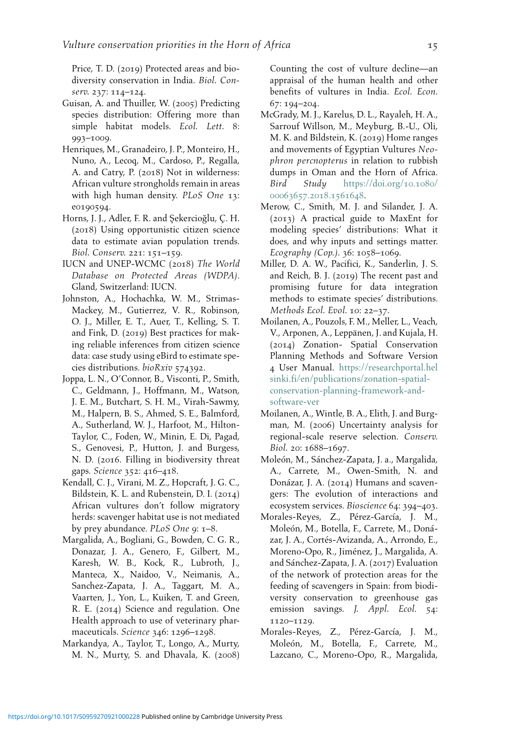Price, T. D. (2019) Protected areas and biodiversity conservation in India. Biol. Conserv. 237: 114–124.

- <span id="page-14-10"></span><span id="page-14-1"></span>Guisan, A. and Thuiller, W. (2005) Predicting species distribution: Offering more than simple habitat models. Ecol. Lett. 8: 993–1009.
- <span id="page-14-9"></span>Henriques, M., Granadeiro, J. P., Monteiro, H., Nuno, A., Lecoq, M., Cardoso, P., Regalla, A. and Catry, P. (2018) Not in wilderness: African vulture strongholds remain in areas with high human density. PLoS One 13: e0190594.
- <span id="page-14-6"></span><span id="page-14-2"></span>Horns, J. J., Adler, F. R. and Şekercioğlu, C. H. (2018) Using opportunistic citizen science data to estimate avian population trends. Biol. Conserv. 221: 151–159.
- <span id="page-14-3"></span>IUCN and UNEP-WCMC (2018) The World Database on Protected Areas (WDPA). Gland, Switzerland: IUCN.
- <span id="page-14-7"></span><span id="page-14-4"></span>Johnston, A., Hochachka, W. M., Strimas-Mackey, M., Gutierrez, V. R., Robinson, O. J., Miller, E. T., Auer, T., Kelling, S. T. and Fink, D. (2019) Best practices for making reliable inferences from citizen science data: case study using eBird to estimate species distributions. bioRxiv 574392.
- <span id="page-14-8"></span><span id="page-14-0"></span>Joppa, L. N., O'Connor, B., Visconti, P., Smith, C., Geldmann, J., Hoffmann, M., Watson, J. E. M., Butchart, S. H. M., Virah-Sawmy, M., Halpern, B. S., Ahmed, S. E., Balmford, A., Sutherland, W. J., Harfoot, M., Hilton-Taylor, C., Foden, W., Minin, E. Di, Pagad, S., Genovesi, P., Hutton, J. and Burgess, N. D. (2016. Filling in biodiversity threat gaps. Science 352: 416–418.
- <span id="page-14-11"></span><span id="page-14-5"></span>Kendall, C. J., Virani, M. Z., Hopcraft, J. G. C., Bildstein, K. L. and Rubenstein, D. I. (2014) African vultures don't follow migratory herds: scavenger habitat use is not mediated by prey abundance. PLoS One 9: 1–8.
- <span id="page-14-15"></span><span id="page-14-13"></span>Margalida, A., Bogliani, G., Bowden, C. G. R., Donazar, J. A., Genero, F., Gilbert, M., Karesh, W. B., Kock, R., Lubroth, J., Manteca, X., Naidoo, V., Neimanis, A., Sanchez-Zapata, J. A., Taggart, M. A., Vaarten, J., Yon, L., Kuiken, T. and Green, R. E. (2014) Science and regulation. One Health approach to use of veterinary pharmaceuticals. Science 346: 1296–1298.
- <span id="page-14-14"></span><span id="page-14-12"></span>Markandya, A., Taylor, T., Longo, A., Murty, M. N., Murty, S. and Dhavala, K. (2008)

Counting the cost of vulture decline—an appraisal of the human health and other benefits of vultures in India. Ecol. Econ. 67: 194–204.

- McGrady, M. J., Karelus, D. L., Rayaleh, H. A., Sarrouf Willson, M., Meyburg, B.-U., Oli, M. K. and Bildstein, K. (2019) Home ranges and movements of Egyptian Vultures Neophron percnopterus in relation to rubbish dumps in Oman and the Horn of Africa. Bird Study [https://doi.org/](https://doi.org/10.1080/00063657.2018.1561648)10.1080/ [00063657](https://doi.org/10.1080/00063657.2018.1561648).2018.1561648.
- Merow, C., Smith, M. J. and Silander, J. A. (2013) A practical guide to MaxEnt for modeling species' distributions: What it does, and why inputs and settings matter. Ecography (Cop.). 36: 1058–1069.
- Miller, D. A. W., Pacifici, K., Sanderlin, J. S. and Reich, B. J. (2019) The recent past and promising future for data integration methods to estimate species' distributions. Methods Ecol. Evol. 10: 22–37.
- Moilanen, A., Pouzols, F. M., Meller, L., Veach, V., Arponen, A., Leppänen, J. and Kujala, H. (2014) Zonation- Spatial Conservation Planning Methods and Software Version 4 User Manual. [https://researchportal.hel](https://researchportal.helsinki.fi/en/publications/zonation-spatial-conservation-planning-framework-and-software-ver) [sinki.fi/en/publications/zonation-spatial](https://researchportal.helsinki.fi/en/publications/zonation-spatial-conservation-planning-framework-and-software-ver)[conservation-planning-framework-and](https://researchportal.helsinki.fi/en/publications/zonation-spatial-conservation-planning-framework-and-software-ver)[software-ver](https://researchportal.helsinki.fi/en/publications/zonation-spatial-conservation-planning-framework-and-software-ver)
- Moilanen, A., Wintle, B. A., Elith, J. and Burgman, M. (2006) Uncertainty analysis for regional-scale reserve selection. Conserv. Biol. 20: 1688–1697.
- Moleón, M., Sánchez-Zapata, J. a., Margalida, A., Carrete, M., Owen-Smith, N. and Donázar, J. A. (2014) Humans and scavengers: The evolution of interactions and ecosystem services. Bioscience 64: 394–403.
- Morales-Reyes, Z., Pérez-García, J. M., Moleón, M., Botella, F., Carrete, M., Donázar, J. A., Cortés-Avizanda, A., Arrondo, E., Moreno-Opo, R., Jiménez, J., Margalida, A. and Sánchez-Zapata, J. A. (2017) Evaluation of the network of protection areas for the feeding of scavengers in Spain: from biodiversity conservation to greenhouse gas emission savings. J. Appl. Ecol. 54: 1120–1129.
- Morales-Reyes, Z., Pérez-García, J. M., Moleón, M., Botella, F., Carrete, M., Lazcano, C., Moreno-Opo, R., Margalida,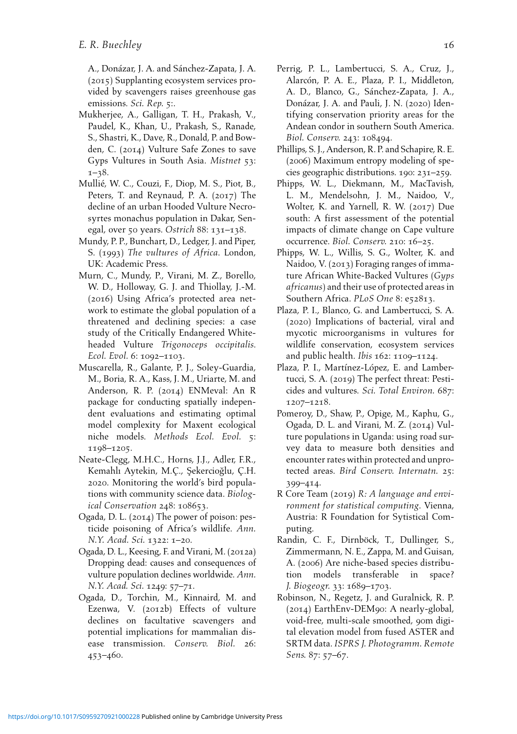<span id="page-15-15"></span>A., Donázar, J. A. and Sánchez-Zapata, J. A. (2015) Supplanting ecosystem services provided by scavengers raises greenhouse gas emissions. Sci. Rep. 5:.

- <span id="page-15-7"></span><span id="page-15-2"></span>Mukherjee, A., Galligan, T. H., Prakash, V., Paudel, K., Khan, U., Prakash, S., Ranade, S., Shastri, K., Dave, R., Donald, P. and Bowden, C. (2014) Vulture Safe Zones to save Gyps Vultures in South Asia. Mistnet 53: 1–38.
- <span id="page-15-12"></span>Mullié, W. C., Couzi, F., Diop, M. S., Piot, B., Peters, T. and Reynaud, P. A. (2017) The decline of an urban Hooded Vulture Necrosyrtes monachus population in Dakar, Senegal, over 50 years. Ostrich 88: 131–138.
- <span id="page-15-13"></span><span id="page-15-4"></span>Mundy, P. P., Bunchart, D., Ledger, J. and Piper, S. (1993) The vultures of Africa. London, UK: Academic Press.
- <span id="page-15-10"></span><span id="page-15-0"></span>Murn, C., Mundy, P., Virani, M. Z., Borello, W. D., Holloway, G. J. and Thiollay, J.-M. (2016) Using Africa's protected area network to estimate the global population of a threatened and declining species: a case study of the Critically Endangered Whiteheaded Vulture Trigonoceps occipitalis. Ecol. Evol. 6: 1092–1103.
- <span id="page-15-9"></span><span id="page-15-1"></span>Muscarella, R., Galante, P. J., Soley-Guardia, M., Boria, R. A., Kass, J. M., Uriarte, M. and Anderson, R. P. (2014) ENMeval: An R package for conducting spatially independent evaluations and estimating optimal model complexity for Maxent ecological niche models. Methods Ecol. Evol. 5: 1198–1205.
- <span id="page-15-3"></span>Neate-Clegg, M.H.C., Horns, J.J., Adler, F.R., Kemahlı Aytekin, M.Ç., Şekercioğlu, Ç.H. 2020. Monitoring the world's bird populations with community science data. Biological Conservation 248: 108653.
- <span id="page-15-11"></span><span id="page-15-5"></span>Ogada, D. L. (2014) The power of poison: pesticide poisoning of Africa's wildlife. Ann. N.Y. Acad. Sci. 1322: 1–20.
- <span id="page-15-14"></span><span id="page-15-8"></span>Ogada, D. L., Keesing, F. and Virani, M. (2012a) Dropping dead: causes and consequences of vulture population declines worldwide. Ann. N.Y. Acad. Sci. 1249: 57–71.
- <span id="page-15-6"></span>Ogada, D., Torchin, M., Kinnaird, M. and Ezenwa, V. (2012b) Effects of vulture declines on facultative scavengers and potential implications for mammalian disease transmission. Conserv. Biol. 26: 453–460.
- Perrig, P. L., Lambertucci, S. A., Cruz, J., Alarcón, P. A. E., Plaza, P. I., Middleton, A. D., Blanco, G., Sánchez-Zapata, J. A., Donázar, J. A. and Pauli, J. N. (2020) Identifying conservation priority areas for the Andean condor in southern South America. Biol. Conserv. 243: 108494.
- Phillips, S. J., Anderson, R. P. and Schapire, R. E. (2006) Maximum entropy modeling of species geographic distributions. 190: 231–259.
- Phipps, W. L., Diekmann, M., MacTavish, L. M., Mendelsohn, J. M., Naidoo, V., Wolter, K. and Yarnell, R. W. (2017) Due south: A first assessment of the potential impacts of climate change on Cape vulture occurrence. Biol. Conserv. 210: 16–25.
- Phipps, W. L., Willis, S. G., Wolter, K. and Naidoo, V. (2013) Foraging ranges of immature African White-Backed Vultures (Gyps africanus) and their use of protected areas in Southern Africa. PLoS One 8: e52813.
- Plaza, P. I., Blanco, G. and Lambertucci, S. A. (2020) Implications of bacterial, viral and mycotic microorganisms in vultures for wildlife conservation, ecosystem services and public health. Ibis 162: 1109–1124.
- Plaza, P. I., Martínez-López, E. and Lambertucci, S. A. (2019) The perfect threat: Pesticides and vultures. Sci. Total Environ. 687: 1207–1218.
- Pomeroy, D., Shaw, P., Opige, M., Kaphu, G., Ogada, D. L. and Virani, M. Z. (2014) Vulture populations in Uganda: using road survey data to measure both densities and encounter rates within protected and unprotected areas. Bird Conserv. Internatn. 25: 399–414.
- R Core Team (2019) R: A language and environment for statistical computing. Vienna, Austria: R Foundation for Sytistical Computing.
- Randin, C. F., Dirnböck, T., Dullinger, S., Zimmermann, N. E., Zappa, M. and Guisan, A. (2006) Are niche-based species distribution models transferable in space? J. Biogeogr. 33: 1689–1703.
- Robinson, N., Regetz, J. and Guralnick, R. P. (2014) EarthEnv-DEM90: A nearly-global, void-free, multi-scale smoothed, 90m digital elevation model from fused ASTER and SRTM data. ISPRS J. Photogramm. Remote Sens. 87: 57–67.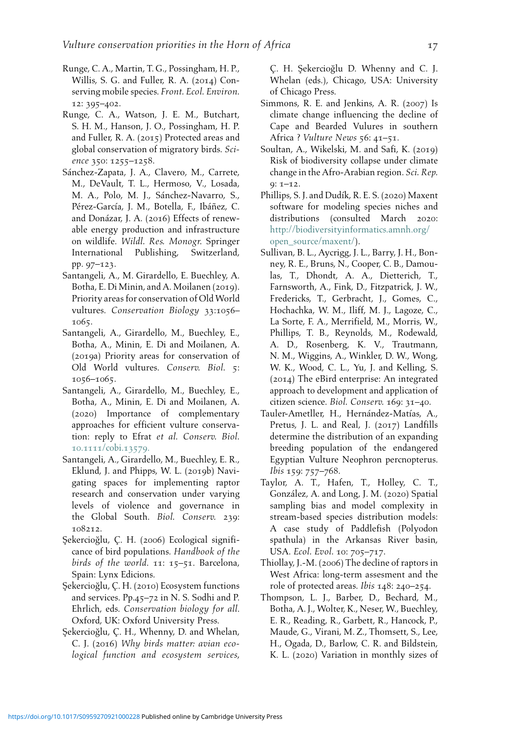- <span id="page-16-1"></span>Runge, C. A., Martin, T. G., Possingham, H. P., Willis, S. G. and Fuller, R. A. (2014) Conserving mobile species. Front. Ecol. Environ. 12: 395–402.
- <span id="page-16-11"></span><span id="page-16-2"></span>Runge, C. A., Watson, J. E. M., Butchart, S. H. M., Hanson, J. O., Possingham, H. P. and Fuller, R. A. (2015) Protected areas and global conservation of migratory birds. Science 350: 1255–1258.
- <span id="page-16-10"></span><span id="page-16-9"></span><span id="page-16-5"></span>Sánchez-Zapata, J. A., Clavero, M., Carrete, M., DeVault, T. L., Hermoso, V., Losada, M. A., Polo, M. J., Sánchez-Navarro, S., Pérez-García, J. M., Botella, F., Ibáñez, C. and Donázar, J. A. (2016) Effects of renewable energy production and infrastructure on wildlife. Wildl. Res. Monogr. Springer International Publishing, Switzerland, pp. 97–123.
- <span id="page-16-7"></span><span id="page-16-4"></span>Santangeli, A., M. Girardello, E. Buechley, A. Botha, E. Di Minin, and A. Moilanen (2019). Priority areas for conservation of Old World vultures. Conservation Biology 33:1056– 1065.
- <span id="page-16-3"></span>Santangeli, A., Girardello, M., Buechley, E., Botha, A., Minin, E. Di and Moilanen, A. (2019a) Priority areas for conservation of Old World vultures. Conserv. Biol. 5: 1056–1065.
- <span id="page-16-16"></span><span id="page-16-12"></span>Santangeli, A., Girardello, M., Buechley, E., Botha, A., Minin, E. Di and Moilanen, A. (2020) Importance of complementary approaches for efficient vulture conservation: reply to Efrat et al. Conserv. Biol. 10.1111/cobi.[13579](https://doi.org/10.1111/cobi.13579).
- <span id="page-16-17"></span><span id="page-16-6"></span>Santangeli, A., Girardello, M., Buechley, E. R., Eklund, J. and Phipps, W. L. (2019b) Navigating spaces for implementing raptor research and conservation under varying levels of violence and governance in the Global South. Biol. Conserv. 239: 108212.
- <span id="page-16-14"></span><span id="page-16-8"></span>Sekercioğlu, C. H. (2006) Ecological significance of bird populations. Handbook of the birds of the world. 11: 15–51. Barcelona, Spain: Lynx Edicions.
- <span id="page-16-13"></span><span id="page-16-0"></span>Şekercioğlu, Ç. H. (2010) Ecosystem functions and services. Pp.45–72 in N. S. Sodhi and P. Ehrlich, eds. Conservation biology for all. Oxford, UK: Oxford University Press.
- <span id="page-16-15"></span>Şekercioğlu, Ç. H., Whenny, D. and Whelan, C. J. (2016) Why birds matter: avian ecological function and ecosystem services,

C. H. Sekercioğlu D. Whenny and C. J. Whelan (eds.), Chicago, USA: University of Chicago Press.

- Simmons, R. E. and Jenkins, A. R. (2007) Is climate change influencing the decline of Cape and Bearded Vulures in southern Africa ? Vulture News 56: 41–51.
- Soultan, A., Wikelski, M. and Safi, K. (2019) Risk of biodiversity collapse under climate change in the Afro-Arabian region. Sci. Rep. 9: 1–12.
- Phillips, S. J. and Dudík, R. E. S. (2020) Maxent software for modeling species niches and distributions (consulted March 2020: [http://biodiversityinformatics.amnh.org/](http://biodiversityinformatics.amnh.org/open_source/maxent/) [open\\_source/maxent/\)](http://biodiversityinformatics.amnh.org/open_source/maxent/).
- Sullivan, B. L., Aycrigg, J. L., Barry, J. H., Bonney, R. E., Bruns, N., Cooper, C. B., Damoulas, T., Dhondt, A. A., Dietterich, T., Farnsworth, A., Fink, D., Fitzpatrick, J. W., Fredericks, T., Gerbracht, J., Gomes, C., Hochachka, W. M., Iliff, M. J., Lagoze, C., La Sorte, F. A., Merrifield, M., Morris, W., Phillips, T. B., Reynolds, M., Rodewald, A. D., Rosenberg, K. V., Trautmann, N. M., Wiggins, A., Winkler, D. W., Wong, W. K., Wood, C. L., Yu, J. and Kelling, S. (2014) The eBird enterprise: An integrated approach to development and application of citizen science. Biol. Conserv. 169: 31–40.
- Tauler-Ametller, H., Hernández-Matías, A., Pretus, J. L. and Real, J. (2017) Landfills determine the distribution of an expanding breeding population of the endangered Egyptian Vulture Neophron percnopterus. Ibis 159: 757–768.
- Taylor, A. T., Hafen, T., Holley, C. T., González, A. and Long, J. M. (2020) Spatial sampling bias and model complexity in stream-based species distribution models: A case study of Paddlefish (Polyodon spathula) in the Arkansas River basin, USA. Ecol. Evol. 10: 705–717.
- Thiollay, J.-M. (2006) The decline of raptors in West Africa: long-term assesment and the role of protected areas. Ibis 148: 240–254.
- Thompson, L. J., Barber, D., Bechard, M., Botha, A. J., Wolter, K., Neser, W., Buechley, E. R., Reading, R., Garbett, R., Hancock, P., Maude, G., Virani, M. Z., Thomsett, S., Lee, H., Ogada, D., Barlow, C. R. and Bildstein, K. L. (2020) Variation in monthly sizes of